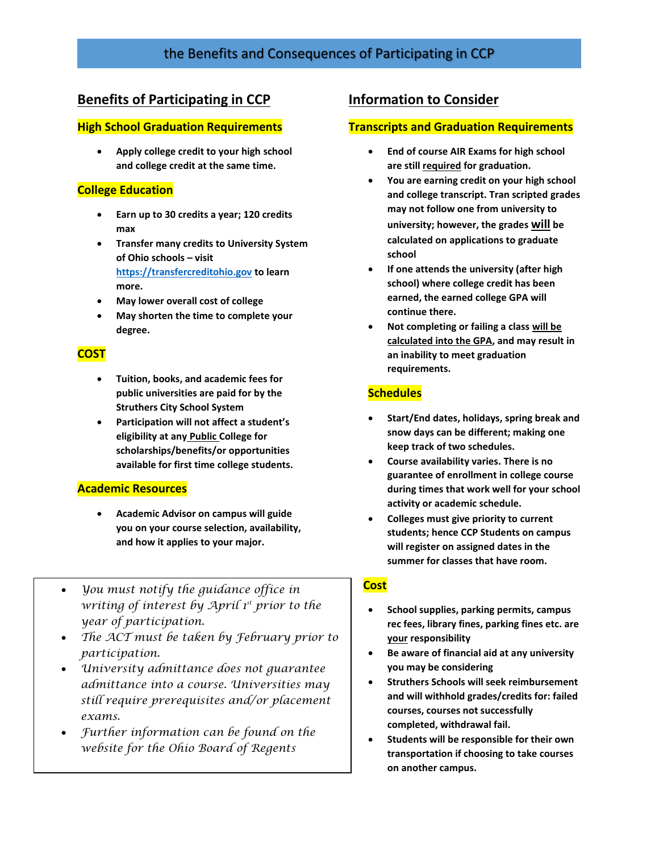# the Benefits and Consequences of Participating in CCP

## **Benefits of Participating in CCP**

#### **High School Graduation Requirements**

 **Apply college credit to your high school and college credit at the same time.**

### **College Education**

- **Earn up to 30 credits a year; 120 credits max**
- **Transfer many credits to University System of Ohio schools – visit [https://transfercreditohio.gov](https://transfercreditohio.gov/) to learn more.**
- **May lower overall cost of college**
- **May shorten the time to complete your degree.**

### **COST**

- **Tuition, books, and academic fees for public universities are paid for by the Struthers City School System**
- **Participation will not affect a student's eligibility at any Public College for scholarships/benefits/or opportunities available for first time college students.**

#### **Academic Resources**

- **Academic Advisor on campus will guide you on your course selection, availability, and how it applies to your major.**
- *You must notify the guidance office in writing of interest by April 1st prior to the year of participation.*
- *The ACT must be taken by February prior to participation.*
- *University admittance does not guarantee admittance into a course. Universities may still require prerequisites and/or placement exams.*
- *Further information can be found on the website for the Ohio Board of Regents*

## **Information to Consider**

#### **Transcripts and Graduation Requirements**

- **End of course AIR Exams for high school are still required for graduation.**
- **You are earning credit on your high school and college transcript. Tran scripted grades may not follow one from university to university; however, the grades will be calculated on applications to graduate school**
- **If one attends the university (after high school) where college credit has been earned, the earned college GPA will continue there.**
- **Not completing or failing a class will be calculated into the GPA, and may result in an inability to meet graduation requirements.**

### **Schedules**

- **Start/End dates, holidays, spring break and snow days can be different; making one keep track of two schedules.**
- **Course availability varies. There is no guarantee of enrollment in college course during times that work well for your school activity or academic schedule.**
- **Colleges must give priority to current students; hence CCP Students on campus will register on assigned dates in the summer for classes that have room.**

### **Cost**

- **School supplies, parking permits, campus rec fees, library fines, parking fines etc. are your responsibility**
- **Be aware of financial aid at any university you may be considering**
- **Struthers Schools will seek reimbursement and will withhold grades/credits for: failed courses, courses not successfully completed, withdrawal fail.**
- **Students will be responsible for their own transportation if choosing to take courses on another campus.**